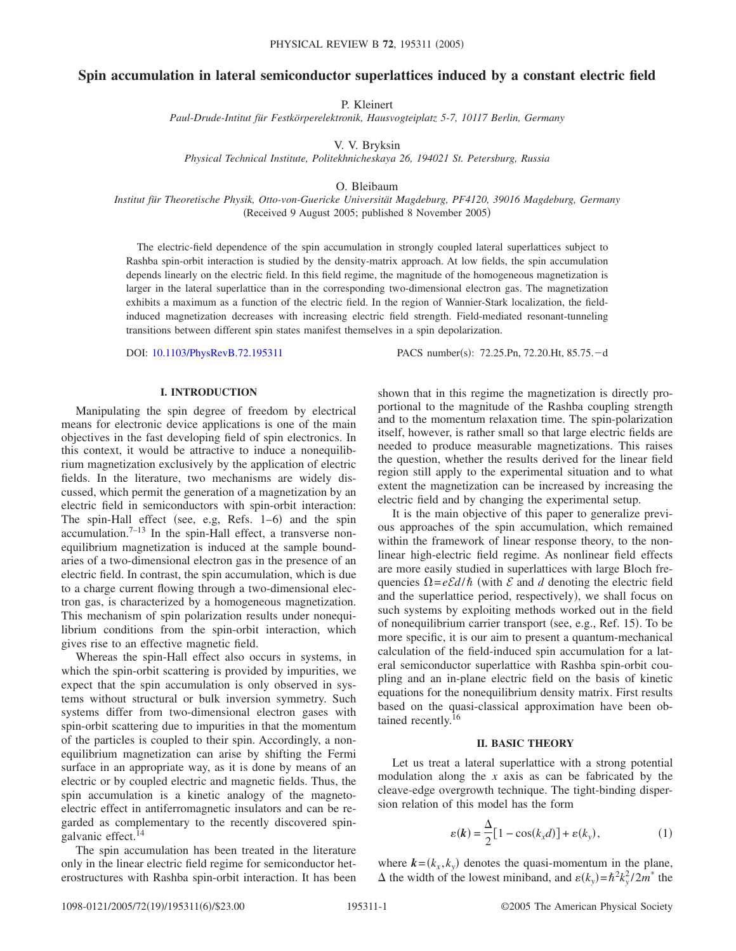# **Spin accumulation in lateral semiconductor superlattices induced by a constant electric field**

P. Kleinert

*Paul-Drude-Intitut für Festkörperelektronik, Hausvogteiplatz 5-7, 10117 Berlin, Germany*

V. V. Bryksin

*Physical Technical Institute, Politekhnicheskaya 26, 194021 St. Petersburg, Russia*

O. Bleibaum

*Institut für Theoretische Physik, Otto-von-Guericke Universität Magdeburg, PF4120, 39016 Magdeburg, Germany* (Received 9 August 2005; published 8 November 2005)

The electric-field dependence of the spin accumulation in strongly coupled lateral superlattices subject to Rashba spin-orbit interaction is studied by the density-matrix approach. At low fields, the spin accumulation depends linearly on the electric field. In this field regime, the magnitude of the homogeneous magnetization is larger in the lateral superlattice than in the corresponding two-dimensional electron gas. The magnetization exhibits a maximum as a function of the electric field. In the region of Wannier-Stark localization, the fieldinduced magnetization decreases with increasing electric field strength. Field-mediated resonant-tunneling transitions between different spin states manifest themselves in a spin depolarization.

DOI: [10.1103/PhysRevB.72.195311](http://dx.doi.org/10.1103/PhysRevB.72.195311)

PACS number(s): 72.25.Pn, 72.20.Ht, 85.75.-d

# **I. INTRODUCTION**

Manipulating the spin degree of freedom by electrical means for electronic device applications is one of the main objectives in the fast developing field of spin electronics. In this context, it would be attractive to induce a nonequilibrium magnetization exclusively by the application of electric fields. In the literature, two mechanisms are widely discussed, which permit the generation of a magnetization by an electric field in semiconductors with spin-orbit interaction: The spin-Hall effect (see, e.g, Refs. 1-6) and the spin accumulation. $7-13$  In the spin-Hall effect, a transverse nonequilibrium magnetization is induced at the sample boundaries of a two-dimensional electron gas in the presence of an electric field. In contrast, the spin accumulation, which is due to a charge current flowing through a two-dimensional electron gas, is characterized by a homogeneous magnetization. This mechanism of spin polarization results under nonequilibrium conditions from the spin-orbit interaction, which gives rise to an effective magnetic field.

Whereas the spin-Hall effect also occurs in systems, in which the spin-orbit scattering is provided by impurities, we expect that the spin accumulation is only observed in systems without structural or bulk inversion symmetry. Such systems differ from two-dimensional electron gases with spin-orbit scattering due to impurities in that the momentum of the particles is coupled to their spin. Accordingly, a nonequilibrium magnetization can arise by shifting the Fermi surface in an appropriate way, as it is done by means of an electric or by coupled electric and magnetic fields. Thus, the spin accumulation is a kinetic analogy of the magnetoelectric effect in antiferromagnetic insulators and can be regarded as complementary to the recently discovered spingalvanic effect.<sup>14</sup>

The spin accumulation has been treated in the literature only in the linear electric field regime for semiconductor heterostructures with Rashba spin-orbit interaction. It has been

shown that in this regime the magnetization is directly proportional to the magnitude of the Rashba coupling strength and to the momentum relaxation time. The spin-polarization itself, however, is rather small so that large electric fields are needed to produce measurable magnetizations. This raises the question, whether the results derived for the linear field region still apply to the experimental situation and to what extent the magnetization can be increased by increasing the electric field and by changing the experimental setup.

It is the main objective of this paper to generalize previous approaches of the spin accumulation, which remained within the framework of linear response theory, to the nonlinear high-electric field regime. As nonlinear field effects are more easily studied in superlattices with large Bloch frequencies  $\Omega = e\mathcal{E}d/\hbar$  (with  $\mathcal E$  and  $d$  denoting the electric field and the superlattice period, respectively), we shall focus on such systems by exploiting methods worked out in the field of nonequilibrium carrier transport (see, e.g., Ref. 15). To be more specific, it is our aim to present a quantum-mechanical calculation of the field-induced spin accumulation for a lateral semiconductor superlattice with Rashba spin-orbit coupling and an in-plane electric field on the basis of kinetic equations for the nonequilibrium density matrix. First results based on the quasi-classical approximation have been obtained recently.<sup>16</sup>

#### **II. BASIC THEORY**

Let us treat a lateral superlattice with a strong potential modulation along the *x* axis as can be fabricated by the cleave-edge overgrowth technique. The tight-binding dispersion relation of this model has the form

$$
\varepsilon(\mathbf{k}) = \frac{\Delta}{2} [1 - \cos(k_x d)] + \varepsilon(k_y), \tag{1}
$$

where  $\mathbf{k} = (k_x, k_y)$  denotes the quasi-momentum in the plane,  $\Delta$  the width of the lowest miniband, and  $\varepsilon(k_y) = \hbar^2 k_y^2 / 2m^*$  the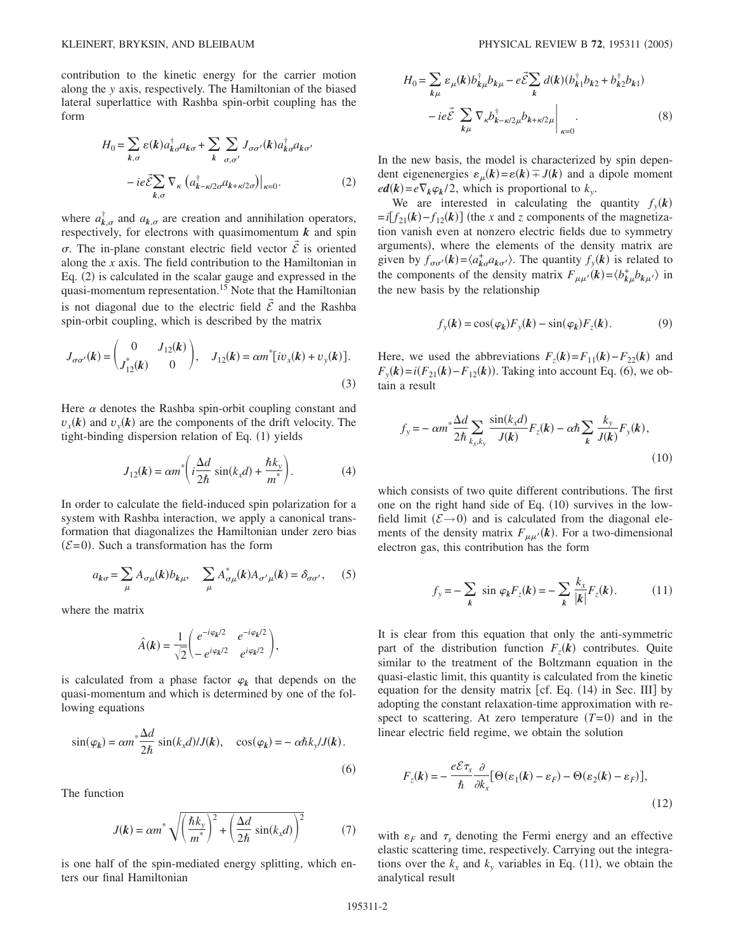contribution to the kinetic energy for the carrier motion along the *y* axis, respectively. The Hamiltonian of the biased lateral superlattice with Rashba spin-orbit coupling has the form

$$
H_0 = \sum_{k,\sigma} \varepsilon(k) a_{k\sigma}^\dagger a_{k\sigma} + \sum_k \sum_{\sigma,\sigma'} J_{\sigma\sigma'}(k) a_{k\sigma}^\dagger a_{k\sigma'} - ie \tilde{\sum}_{k,\sigma} \nabla_\kappa (a_{k-\kappa/2\sigma}^\dagger a_{k+\kappa/2\sigma}) \Big|_{\kappa=0}.
$$
 (2)

where  $a_{k,\sigma}^{\dagger}$  and  $a_{k,\sigma}$  are creation and annihilation operators, respectively, for electrons with quasimomentum  $k$  and spin  $\sigma$ . The in-plane constant electric field vector  $\vec{\mathcal{E}}$  is oriented along the *x* axis. The field contribution to the Hamiltonian in Eq. (2) is calculated in the scalar gauge and expressed in the quasi-momentum representation.<sup>15</sup> Note that the Hamiltonian is not diagonal due to the electric field  $\vec{\mathcal{E}}$  and the Rashba spin-orbit coupling, which is described by the matrix

$$
J_{\sigma\sigma'}(\mathbf{k}) = \begin{pmatrix} 0 & J_{12}(\mathbf{k}) \\ J_{12}^*(\mathbf{k}) & 0 \end{pmatrix}, \quad J_{12}(\mathbf{k}) = \alpha m^* [iv_x(\mathbf{k}) + v_y(\mathbf{k})]. \tag{3}
$$

Here  $\alpha$  denotes the Rashba spin-orbit coupling constant and  $v_x(k)$  and  $v_y(k)$  are the components of the drift velocity. The tight-binding dispersion relation of Eq. (1) yields

$$
J_{12}(\mathbf{k}) = \alpha m^* \left( i \frac{\Delta d}{2\hbar} \sin(k_x d) + \frac{\hbar k_y}{m^*} \right). \tag{4}
$$

In order to calculate the field-induced spin polarization for a system with Rashba interaction, we apply a canonical transformation that diagonalizes the Hamiltonian under zero bias  $(\mathcal{E}= 0)$ . Such a transformation has the form

$$
a_{k\sigma} = \sum_{\mu} A_{\sigma\mu}(k) b_{k\mu}, \quad \sum_{\mu} A_{\sigma\mu}^*(k) A_{\sigma'\mu}(k) = \delta_{\sigma\sigma'}, \quad (5)
$$

where the matrix

$$
\hat{A}(\boldsymbol{k}) = \frac{1}{\sqrt{2}} \begin{pmatrix} e^{-i\varphi_{\boldsymbol{k}}/2} & e^{-i\varphi_{\boldsymbol{k}}/2} \\ -e^{i\varphi_{\boldsymbol{k}}/2} & e^{i\varphi_{\boldsymbol{k}}/2} \end{pmatrix},
$$

is calculated from a phase factor  $\varphi_k$  that depends on the quasi-momentum and which is determined by one of the following equations

$$
\sin(\varphi_k) = \alpha m^* \frac{\Delta d}{2\hbar} \sin(k_x d) / J(k), \quad \cos(\varphi_k) = -\alpha \hbar k_y / J(k).
$$
\n(6)

The function

$$
J(\mathbf{k}) = \alpha m^* \sqrt{\left(\frac{\hbar k_y}{m^*}\right)^2 + \left(\frac{\Delta d}{2\hbar} \sin(k_x d)\right)^2} \tag{7}
$$

is one half of the spin-mediated energy splitting, which enters our final Hamiltonian

$$
H_0 = \sum_{k\mu} \varepsilon_{\mu}(k) b_{k\mu}^{\dagger} b_{k\mu} - e \tilde{\mathcal{E}} \sum_k d(k) (b_{k1}^{\dagger} b_{k2} + b_{k2}^{\dagger} b_{k1})
$$

$$
- ie \tilde{\mathcal{E}} \sum_{k\mu} \nabla_{\kappa} b_{k-\kappa/2\mu}^{\dagger} b_{k+\kappa/2\mu} \Big|_{\kappa=0}.
$$
 (8)

In the new basis, the model is characterized by spin dependent eigenenergies  $\varepsilon_{\mu}(k) = \varepsilon(k) \mp J(k)$  and a dipole moment  $ed(k) = e \nabla_k \varphi_k / 2$ , which is proportional to  $k_y$ .

We are interested in calculating the quantity  $f_y(\mathbf{k})$  $=i[f_{21}(k) - f_{12}(k)]$  (the *x* and *z* components of the magnetization vanish even at nonzero electric fields due to symmetry arguments), where the elements of the density matrix are given by  $f_{\sigma\sigma'}(k) = \langle a_{k\sigma}^* a_{k\sigma'} \rangle$ . The quantity  $f_y(k)$  is related to the components of the density matrix  $F_{\mu\mu'}(\mathbf{k}) = \langle b_{k\mu}^{\dagger} b_{k\mu'} \rangle$  in the new basis by the relationship

$$
f_{y}(\mathbf{k}) = \cos(\varphi_{\mathbf{k}}) F_{y}(\mathbf{k}) - \sin(\varphi_{\mathbf{k}}) F_{z}(\mathbf{k}). \tag{9}
$$

Here, we used the abbreviations  $F_z(\mathbf{k}) = F_{11}(\mathbf{k}) - F_{22}(\mathbf{k})$  and  $F_y(k) = i(F_{21}(k) - F_{12}(k))$ . Taking into account Eq. (6), we obtain a result

$$
f_y = -\alpha m^* \frac{\Delta d}{2\hbar} \sum_{k_x, k_y} \frac{\sin(k_x d)}{J(k)} F_z(k) - \alpha \hbar \sum_k \frac{k_y}{J(k)} F_y(k),\tag{10}
$$

which consists of two quite different contributions. The first one on the right hand side of Eq.  $(10)$  survives in the lowfield limit  $(\mathcal{E} \rightarrow 0)$  and is calculated from the diagonal elements of the density matrix  $F_{\mu\mu'}(k)$ . For a two-dimensional electron gas, this contribution has the form

$$
f_y = -\sum_{\mathbf{k}} \sin \varphi_k F_z(\mathbf{k}) = -\sum_{\mathbf{k}} \frac{k_x}{|\mathbf{k}|} F_z(\mathbf{k}). \tag{11}
$$

It is clear from this equation that only the anti-symmetric part of the distribution function  $F_z(\mathbf{k})$  contributes. Quite similar to the treatment of the Boltzmann equation in the quasi-elastic limit, this quantity is calculated from the kinetic equation for the density matrix [cf. Eq.  $(14)$  in Sec. III] by adopting the constant relaxation-time approximation with respect to scattering. At zero temperature  $(T=0)$  and in the linear electric field regime, we obtain the solution

$$
F_z(\mathbf{k}) = -\frac{e\mathcal{E}\tau_s}{\hbar} \frac{\partial}{\partial k_x} [\Theta(\varepsilon_1(\mathbf{k}) - \varepsilon_F) - \Theta(\varepsilon_2(\mathbf{k}) - \varepsilon_F)],
$$
\n(12)

with  $\varepsilon_F$  and  $\tau_s$  denoting the Fermi energy and an effective elastic scattering time, respectively. Carrying out the integrations over the  $k_x$  and  $k_y$  variables in Eq. (11), we obtain the analytical result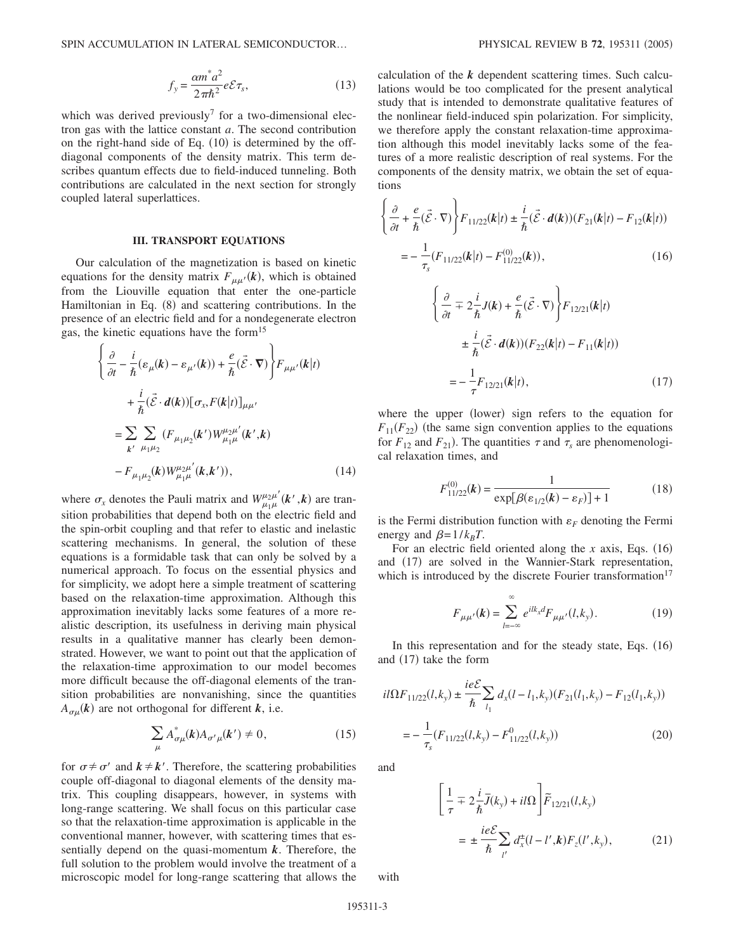$$
f_y = \frac{\alpha m^* a^2}{2\pi \hbar^2} e \mathcal{E} \tau_s,
$$
 (13)

which was derived previously<sup>7</sup> for a two-dimensional electron gas with the lattice constant *a*. The second contribution on the right-hand side of Eq.  $(10)$  is determined by the offdiagonal components of the density matrix. This term describes quantum effects due to field-induced tunneling. Both contributions are calculated in the next section for strongly coupled lateral superlattices.

### **III. TRANSPORT EQUATIONS**

Our calculation of the magnetization is based on kinetic equations for the density matrix  $F_{\mu\mu'}(k)$ , which is obtained from the Liouville equation that enter the one-particle Hamiltonian in Eq. (8) and scattering contributions. In the presence of an electric field and for a nondegenerate electron gas, the kinetic equations have the form<sup>15</sup>

$$
\begin{aligned}\n&\left\{\frac{\partial}{\partial t} - \frac{i}{\hbar}(\varepsilon_{\mu}(k) - \varepsilon_{\mu'}(k)) + \frac{e}{\hbar}(\vec{\mathcal{E}} \cdot \nabla)\right\} F_{\mu\mu'}(k|t) \\
&+ \frac{i}{\hbar}(\vec{\mathcal{E}} \cdot d(k)) [\sigma_x, F(k|t)]_{\mu\mu'} \\
&= \sum_{k'} \sum_{\mu_1\mu_2} (F_{\mu_1\mu_2}(k') W^{\mu_2\mu'}_{\mu_1\mu}(k',k) \\
&- F_{\mu_1\mu_2}(k) W^{\mu_2\mu'}_{\mu_1\mu}(k,k')), \n\end{aligned} \tag{14}
$$

where  $\sigma_x$  denotes the Pauli matrix and  $W^{\mu_2\mu'}_{\mu_1\mu}(k',k)$  are transition probabilities that depend both on the electric field and the spin-orbit coupling and that refer to elastic and inelastic scattering mechanisms. In general, the solution of these equations is a formidable task that can only be solved by a numerical approach. To focus on the essential physics and for simplicity, we adopt here a simple treatment of scattering based on the relaxation-time approximation. Although this approximation inevitably lacks some features of a more realistic description, its usefulness in deriving main physical results in a qualitative manner has clearly been demonstrated. However, we want to point out that the application of the relaxation-time approximation to our model becomes more difficult because the off-diagonal elements of the transition probabilities are nonvanishing, since the quantities  $A_{\sigma\mu}(k)$  are not orthogonal for different *k*, i.e.

$$
\sum_{\mu} A^*_{\sigma\mu}(k) A_{\sigma'\mu}(k') \neq 0, \tag{15}
$$

for  $\sigma \neq \sigma'$  and  $k \neq k'$ . Therefore, the scattering probabilities couple off-diagonal to diagonal elements of the density matrix. This coupling disappears, however, in systems with long-range scattering. We shall focus on this particular case so that the relaxation-time approximation is applicable in the conventional manner, however, with scattering times that essentially depend on the quasi-momentum *k*. Therefore, the full solution to the problem would involve the treatment of a microscopic model for long-range scattering that allows the calculation of the *k* dependent scattering times. Such calculations would be too complicated for the present analytical study that is intended to demonstrate qualitative features of the nonlinear field-induced spin polarization. For simplicity, we therefore apply the constant relaxation-time approximation although this model inevitably lacks some of the features of a more realistic description of real systems. For the components of the density matrix, we obtain the set of equations

$$
\left\{\frac{\partial}{\partial t} + \frac{e}{\hbar}(\vec{\mathcal{E}} \cdot \nabla)\right\} F_{11/22}(\mathbf{k}|t) \pm \frac{i}{\hbar}(\vec{\mathcal{E}} \cdot \mathbf{d}(\mathbf{k}))(F_{21}(\mathbf{k}|t) - F_{12}(\mathbf{k}|t))
$$
  
=  $-\frac{1}{\tau_s}(F_{11/22}(\mathbf{k}|t) - F_{11/22}^{(0)}(\mathbf{k})),$  (16)

$$
\begin{aligned}\n&\left\{\frac{\partial}{\partial t} \mp 2\frac{i}{\hbar}J(\mathbf{k}) + \frac{e}{\hbar}(\vec{\mathcal{E}}\cdot\nabla)\right\} F_{12/21}(\mathbf{k}|t) \\
&\pm \frac{i}{\hbar}(\vec{\mathcal{E}}\cdot\mathbf{d}(\mathbf{k}))(F_{22}(\mathbf{k}|t) - F_{11}(\mathbf{k}|t)) \\
&= -\frac{1}{\tau}F_{12/21}(\mathbf{k}|t),\n\end{aligned} \tag{17}
$$

where the upper (lower) sign refers to the equation for  $F_{11}(F_{22})$  (the same sign convention applies to the equations for  $F_{12}$  and  $F_{21}$ ). The quantities  $\tau$  and  $\tau_s$  are phenomenological relaxation times, and

$$
F_{11/22}^{(0)}(\mathbf{k}) = \frac{1}{\exp[\beta(\varepsilon_{1/2}(\mathbf{k}) - \varepsilon_F)] + 1} \tag{18}
$$

is the Fermi distribution function with  $\varepsilon_F$  denoting the Fermi energy and  $\beta = 1/k_B T$ .

For an electric field oriented along the  $x$  axis, Eqs.  $(16)$ and (17) are solved in the Wannier-Stark representation, which is introduced by the discrete Fourier transformation<sup>17</sup>

$$
F_{\mu\mu'}(k) = \sum_{l=-\infty}^{\infty} e^{ilk_x d} F_{\mu\mu'}(l,k_y).
$$
 (19)

In this representation and for the steady state, Eqs.  $(16)$ and (17) take the form

$$
il\Omega F_{11/22}(l,k_y) \pm \frac{i e \mathcal{E}}{\hbar} \sum_{l_1} d_x (l - l_1, k_y) (F_{21}(l_1, k_y) - F_{12}(l_1, k_y))
$$
  
= 
$$
-\frac{1}{\tau_s} (F_{11/22}(l,k_y) - F_{11/22}^0(l,k_y))
$$
(20)

and

$$
\left[\frac{1}{\tau} \mp 2\frac{i}{\hbar}\overline{J}(k_{y}) + i l \Omega\right] \widetilde{F}_{12/21}(l, k_{y})
$$
\n
$$
= \pm \frac{i e \mathcal{E}}{\hbar} \sum_{l'} d_{x}^{\pm} (l - l', \mathbf{k}) F_{z}(l', k_{y}), \qquad (21)
$$

with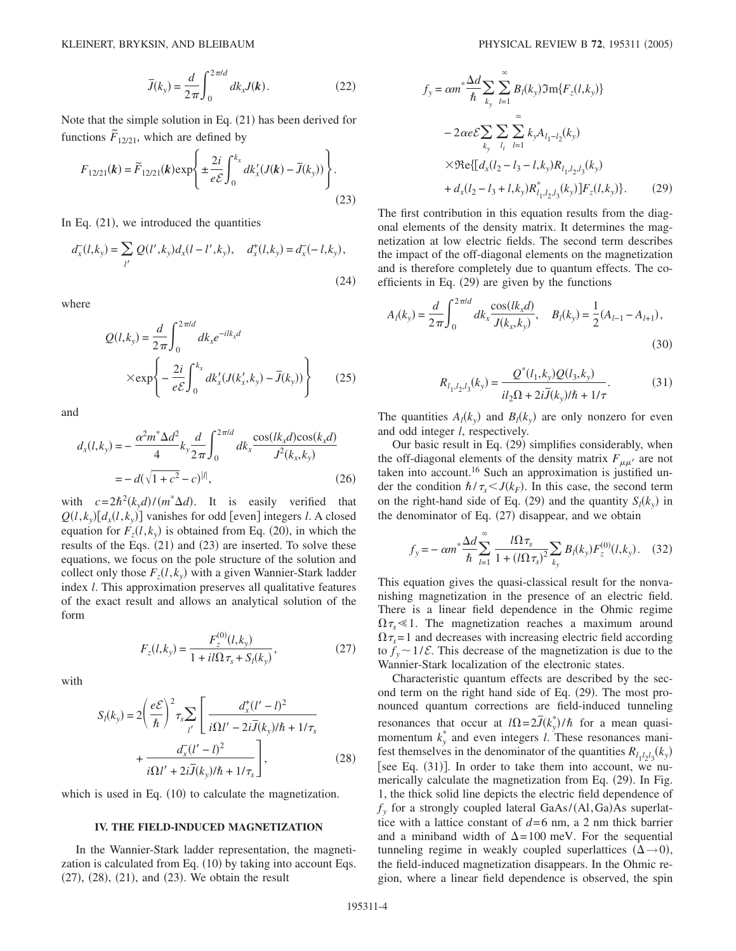$$
\bar{J}(k_{y}) = \frac{d}{2\pi} \int_{0}^{2\pi/d} dk_{x} J(k).
$$
 (22)

Note that the simple solution in Eq. (21) has been derived for functions  $\tilde{F}_{12/21}$ , which are defined by

$$
F_{12/21}(k) = \widetilde{F}_{12/21}(k) \exp\left\{ \pm \frac{2i}{e\mathcal{E}} \int_0^{k_x} dk'_x (J(k) - \overline{J}(k_y)) \right\}.
$$
\n(23)

In Eq.  $(21)$ , we introduced the quantities

$$
d_x^-(l,k_y) = \sum_{l'} Q(l',k_y) d_x(l-l',k_y), \quad d_x^+(l,k_y) = d_x^(-l,k_y),
$$
\n(24)

where

$$
Q(l,k_y) = \frac{d}{2\pi} \int_0^{2\pi l d} dk_x e^{-ilk_x d}
$$

$$
\times \exp\left\{-\frac{2i}{e\mathcal{E}} \int_0^{k_x} dk'_x (J(k'_x, k_y) - \overline{J}(k_y))\right\}
$$
(25)

and

$$
d_x(l, k_y) = -\frac{\alpha^2 m^* \Delta d^2}{4} k_y \frac{d}{2\pi} \int_0^{2\pi l d} dk_x \frac{\cos(lk_x d)\cos(k_x d)}{J^2(k_x, k_y)}
$$
  
=  $-d(\sqrt{1 + c^2} - c)^{|l|},$  (26)

with  $c = 2\hbar^2(k_y d)/(m^* \Delta d)$ . It is easily verified that  $Q(l, k_y) [d_x(l, k_y)]$  vanishes for odd [even] integers *l*. A closed equation for  $F_z(l, k_y)$  is obtained from Eq. (20), in which the results of the Eqs.  $(21)$  and  $(23)$  are inserted. To solve these equations, we focus on the pole structure of the solution and collect only those  $F_z(l, k_y)$  with a given Wannier-Stark ladder index *l*. This approximation preserves all qualitative features of the exact result and allows an analytical solution of the form

$$
F_z(l,k_y) = \frac{F_z^{(0)}(l,k_y)}{1 + i l \Omega \tau_s + S_l(k_y)},
$$
\n(27)

with

$$
S_l(k_y) = 2\left(\frac{e\mathcal{E}}{\hbar}\right)^2 \tau_s \sum_{l'} \left[\frac{d_x^+(l'-l)^2}{i\Omega l' - 2i\overline{J}(k_y)/\hbar + 1/\tau_s} + \frac{d_x^-(l'-l)^2}{i\Omega l' + 2i\overline{J}(k_y)/\hbar + 1/\tau_s}\right],
$$
 (28)

which is used in Eq. (10) to calculate the magnetization.

### **IV. THE FIELD-INDUCED MAGNETIZATION**

In the Wannier-Stark ladder representation, the magnetization is calculated from Eq. (10) by taking into account Eqs.  $(27)$ ,  $(28)$ ,  $(21)$ , and  $(23)$ . We obtain the result

$$
f_{y} = \alpha m^{*} \frac{\Delta d}{\hbar} \sum_{k_{y}} \sum_{l=1}^{\infty} B_{l}(k_{y}) \Im m \{F_{z}(l, k_{y})\}
$$
  
\n
$$
-2 \alpha e \mathcal{E} \sum_{k_{y}} \sum_{l_{i}} \sum_{l=1}^{\infty} k_{y} A_{l_{1}-l_{2}}(k_{y})
$$
  
\n
$$
\times \Re e \{ [d_{x}(l_{2}-l_{3}-l, k_{y}) R_{l_{1},l_{2},l_{3}}(k_{y}) + d_{x}(l_{2}-l_{3}+l, k_{y}) R_{l_{1},l_{2},l_{3}}^{*}(k_{y})] F_{z}(l, k_{y}) \}. \tag{29}
$$

The first contribution in this equation results from the diagonal elements of the density matrix. It determines the magnetization at low electric fields. The second term describes the impact of the off-diagonal elements on the magnetization and is therefore completely due to quantum effects. The coefficients in Eq.  $(29)$  are given by the functions

$$
A_l(k_y) = \frac{d}{2\pi} \int_0^{2\pi l d} dk_x \frac{\cos(lk_x d)}{J(k_x, k_y)}, \quad B_l(k_y) = \frac{1}{2} (A_{l-1} - A_{l+1}),
$$
\n(30)

$$
R_{l_1, l_2, l_3}(k_y) = \frac{Q^*(l_1, k_y)Q(l_3, k_y)}{il_2\Omega + 2i\bar{J}(k_y)/\hbar + 1/\tau}.
$$
 (31)

The quantities  $A_l(k_y)$  and  $B_l(k_y)$  are only nonzero for even and odd integer *l*, respectively.

Our basic result in Eq. (29) simplifies considerably, when the off-diagonal elements of the density matrix  $F_{\mu\mu'}$  are not taken into account.<sup>16</sup> Such an approximation is justified under the condition  $\hbar / \tau_s < J(k_F)$ . In this case, the second term on the right-hand side of Eq. (29) and the quantity  $S_l(k_y)$  in the denominator of Eq. (27) disappear, and we obtain

$$
f_{y} = -\alpha m^{*} \frac{\Delta d}{\hbar} \sum_{l=1}^{\infty} \frac{l\Omega \tau_{s}}{1 + (l\Omega \tau_{s})^{2}} \sum_{k_{y}} B_{l}(k_{y}) F_{z}^{(0)}(l, k_{y}).
$$
 (32)

This equation gives the quasi-classical result for the nonvanishing magnetization in the presence of an electric field. There is a linear field dependence in the Ohmic regime  $\Omega \tau_s \leq 1$ . The magnetization reaches a maximum around  $\Omega \tau_s = 1$  and decreases with increasing electric field according to  $f_y \sim 1/\mathcal{E}$ . This decrease of the magnetization is due to the Wannier-Stark localization of the electronic states.

Characteristic quantum effects are described by the second term on the right hand side of Eq. (29). The most pronounced quantum corrections are field-induced tunneling resonances that occur at  $I\Omega = 2J(k_y^*)/\hbar$  for a mean quasimomentum  $k_y^*$  and even integers *l*. These resonances manifest themselves in the denominator of the quantities  $R_{l_1l_2l_3}(k_y)$ [see Eq.  $(31)$ ]. In order to take them into account, we numerically calculate the magnetization from Eq. (29). In Fig. 1, the thick solid line depicts the electric field dependence of  $f_y$  for a strongly coupled lateral GaAs/(Al,Ga)As superlattice with a lattice constant of  $d=6$  nm, a 2 nm thick barrier and a miniband width of  $\Delta = 100$  meV. For the sequential tunneling regime in weakly coupled superlattices  $(\Delta \rightarrow 0)$ , the field-induced magnetization disappears. In the Ohmic region, where a linear field dependence is observed, the spin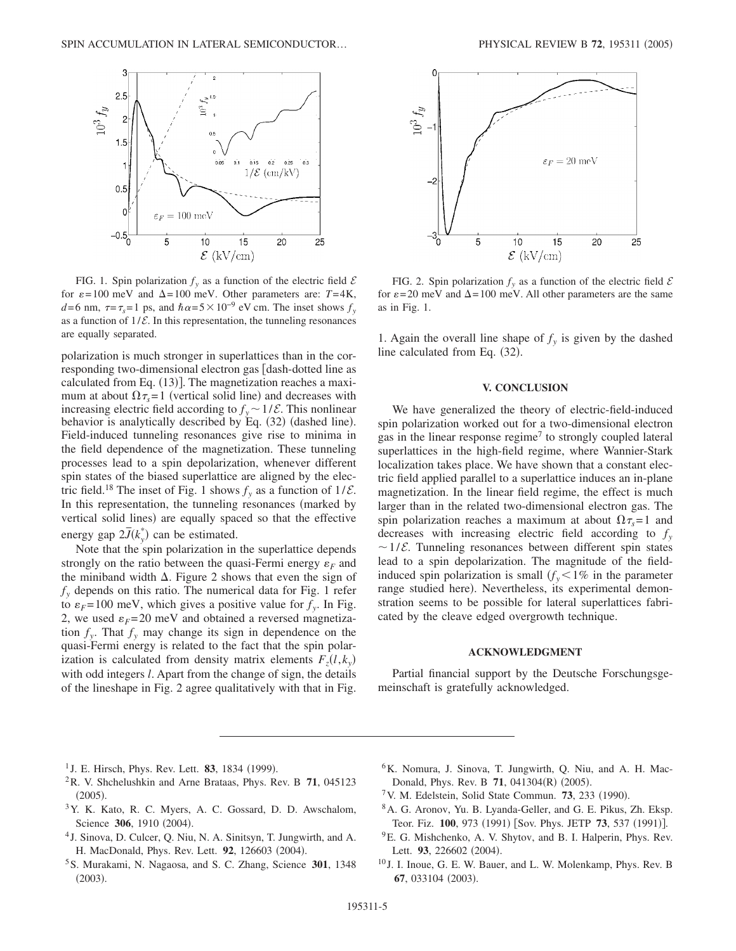

FIG. 1. Spin polarization  $f_y$  as a function of the electric field  $\mathcal E$ for  $\varepsilon = 100$  meV and  $\Delta = 100$  meV. Other parameters are:  $T = 4$ K,  $d=6$  nm,  $\tau = \tau_s = 1$  ps, and  $\hbar \alpha = 5 \times 10^{-9}$  eV cm. The inset shows  $f_y$ as a function of  $1/\mathcal{E}$ . In this representation, the tunneling resonances are equally separated.

polarization is much stronger in superlattices than in the corresponding two-dimensional electron gas [dash-dotted line as calculated from Eq. (13)]. The magnetization reaches a maximum at about  $\Omega \tau_s = 1$  (vertical solid line) and decreases with increasing electric field according to  $f_y \sim 1/\mathcal{E}$ . This nonlinear behavior is analytically described by Eq. (32) (dashed line). Field-induced tunneling resonances give rise to minima in the field dependence of the magnetization. These tunneling processes lead to a spin depolarization, whenever different spin states of the biased superlattice are aligned by the electric field.<sup>18</sup> The inset of Fig. 1 shows  $f_y$  as a function of  $1/\mathcal{E}$ . In this representation, the tunneling resonances (marked by vertical solid lines) are equally spaced so that the effective energy gap  $2\bar{J}(k_y^*)$  can be estimated.

Note that the spin polarization in the superlattice depends strongly on the ratio between the quasi-Fermi energy  $\varepsilon_F$  and the miniband width  $\Delta$ . Figure 2 shows that even the sign of  $f<sub>y</sub>$  depends on this ratio. The numerical data for Fig. 1 refer to  $\varepsilon_F = 100$  meV, which gives a positive value for  $f_v$ . In Fig. 2, we used  $\varepsilon_F = 20$  meV and obtained a reversed magnetization  $f_y$ . That  $f_y$  may change its sign in dependence on the quasi-Fermi energy is related to the fact that the spin polarization is calculated from density matrix elements  $F_z(l, k_y)$ with odd integers *l*. Apart from the change of sign, the details of the lineshape in Fig. 2 agree qualitatively with that in Fig.



FIG. 2. Spin polarization  $f_y$  as a function of the electric field  $\mathcal E$ for  $\varepsilon = 20$  meV and  $\Delta = 100$  meV. All other parameters are the same as in Fig. 1.

1. Again the overall line shape of  $f<sub>v</sub>$  is given by the dashed line calculated from Eq. (32).

# **V. CONCLUSION**

We have generalized the theory of electric-field-induced spin polarization worked out for a two-dimensional electron gas in the linear response regime<sup>7</sup> to strongly coupled lateral superlattices in the high-field regime, where Wannier-Stark localization takes place. We have shown that a constant electric field applied parallel to a superlattice induces an in-plane magnetization. In the linear field regime, the effect is much larger than in the related two-dimensional electron gas. The spin polarization reaches a maximum at about  $\Omega \tau_s = 1$  and decreases with increasing electric field according to  $f<sub>y</sub>$  $\sim$  1/ $\mathcal{E}$ . Tunneling resonances between different spin states lead to a spin depolarization. The magnitude of the fieldinduced spin polarization is small  $f_y < 1\%$  in the parameter range studied here). Nevertheless, its experimental demonstration seems to be possible for lateral superlattices fabricated by the cleave edged overgrowth technique.

# **ACKNOWLEDGMENT**

Partial financial support by the Deutsche Forschungsgemeinschaft is gratefully acknowledged.

- <sup>1</sup> J. E. Hirsch, Phys. Rev. Lett. **83**, 1834 (1999).
- 2R. V. Shchelushkin and Arne Brataas, Phys. Rev. B **71**, 045123  $(2005).$
- 3Y. K. Kato, R. C. Myers, A. C. Gossard, D. D. Awschalom, Science 306, 1910 (2004).
- <sup>4</sup> J. Sinova, D. Culcer, Q. Niu, N. A. Sinitsyn, T. Jungwirth, and A. H. MacDonald, Phys. Rev. Lett. 92, 126603 (2004).
- 5S. Murakami, N. Nagaosa, and S. C. Zhang, Science **301**, 1348  $(2003).$
- <sup>6</sup>K. Nomura, J. Sinova, T. Jungwirth, Q. Niu, and A. H. Mac-Donald, Phys. Rev. B 71, 041304(R) (2005).
- <sup>7</sup> V. M. Edelstein, Solid State Commun. **73**, 233 (1990).
- 8A. G. Aronov, Yu. B. Lyanda-Geller, and G. E. Pikus, Zh. Eksp. Teor. Fiz. 100, 973 (1991) [Sov. Phys. JETP 73, 537 (1991)].
- 9E. G. Mishchenko, A. V. Shytov, and B. I. Halperin, Phys. Rev. Lett. 93, 226602 (2004).
- <sup>10</sup> J. I. Inoue, G. E. W. Bauer, and L. W. Molenkamp, Phys. Rev. B 67, 033104 (2003).